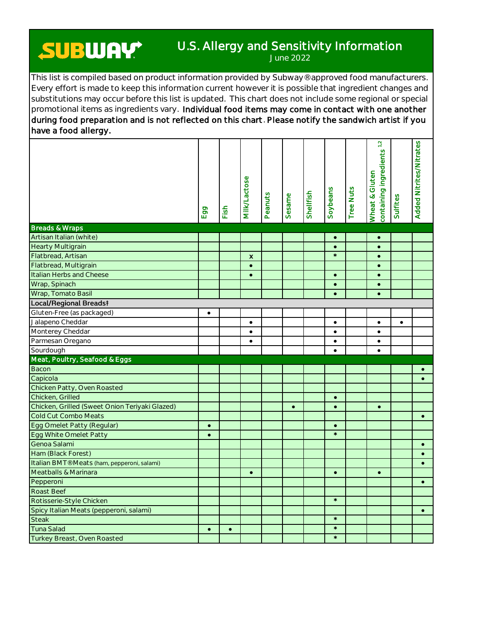## **SUBWAY**

## U.S. Allergy and Sensitivity Information

June 2022

This list is compiled based on product information provided by Subway® approved food manufacturers. Every effort is made to keep this information current however it is possible that ingredient changes and substitutions may occur before this list is updated. This chart does not include some regional or special promotional items as ingredients vary. Individual food items may come in contact with one another during food preparation and is not reflected on this chart. Please notify the sandwich artist if you have a food allergy.

|                                                 | Egg       | Fish      | <b>MIIK/Lactose</b> | Peanuts | Sesame    | Shellfish | Soybeans               | <b>Tree Nuts</b> | containing ingredients <sup>1,2</sup><br>Wheat & Gluten | Sulfites  | Added Nitrites/Nitrates |
|-------------------------------------------------|-----------|-----------|---------------------|---------|-----------|-----------|------------------------|------------------|---------------------------------------------------------|-----------|-------------------------|
| <b>Breads &amp; Wraps</b>                       |           |           |                     |         |           |           |                        |                  |                                                         |           |                         |
| Artisan Italian (white)                         |           |           |                     |         |           |           | $\bullet$              |                  | $\bullet$                                               |           |                         |
| <b>Hearty Multigrain</b>                        |           |           |                     |         |           |           | $\bullet$<br>$\star$   |                  | $\bullet$                                               |           |                         |
| Flatbread, Artisan                              |           |           | x                   |         |           |           |                        |                  | $\bullet$                                               |           |                         |
| Flatbread, Multigrain                           |           |           | $\bullet$           |         |           |           |                        |                  | $\bullet$                                               |           |                         |
| Italian Herbs and Cheese                        |           |           | $\bullet$           |         |           |           | $\bullet$              |                  | $\bullet$                                               |           |                         |
| Wrap, Spinach                                   |           |           |                     |         |           |           | $\bullet$              |                  | $\bullet$                                               |           |                         |
| Wrap, Tomato Basil                              |           |           |                     |         |           |           | $\bullet$              |                  | $\bullet$                                               |           |                         |
| Local/Regional Breadst                          |           |           |                     |         |           |           |                        |                  |                                                         |           |                         |
| Gluten-Free (as packaged)                       | $\bullet$ |           |                     |         |           |           |                        |                  |                                                         |           |                         |
| Jalapeno Cheddar                                |           |           | $\bullet$           |         |           |           | $\bullet$              |                  | $\bullet$                                               | $\bullet$ |                         |
| Monterey Cheddar                                |           |           | $\bullet$           |         |           |           | $\bullet$              |                  | $\bullet$                                               |           |                         |
| Parmesan Oregano                                |           |           | $\bullet$           |         |           |           | $\bullet$              |                  | $\bullet$                                               |           |                         |
| Sourdough                                       |           |           |                     |         |           |           | $\bullet$              |                  | $\bullet$                                               |           |                         |
| Meat, Poultry, Seafood & Eggs<br>Bacon          |           |           |                     |         |           |           |                        |                  |                                                         |           |                         |
|                                                 |           |           |                     |         |           |           |                        |                  |                                                         |           | $\bullet$               |
| Capicola                                        |           |           |                     |         |           |           |                        |                  |                                                         |           | $\bullet$               |
| Chicken Patty, Oven Roasted<br>Chicken, Grilled |           |           |                     |         |           |           |                        |                  |                                                         |           |                         |
| Chicken, Grilled (Sweet Onion Teriyaki Glazed)  |           |           |                     |         | $\bullet$ |           | $\bullet$<br>$\bullet$ |                  | $\bullet$                                               |           |                         |
| Cold Cut Combo Meats                            |           |           |                     |         |           |           |                        |                  |                                                         |           | $\bullet$               |
| Egg Omelet Patty (Regular)                      | $\bullet$ |           |                     |         |           |           | $\bullet$              |                  |                                                         |           |                         |
| Egg White Omelet Patty                          | $\bullet$ |           |                     |         |           |           | $\star$                |                  |                                                         |           |                         |
| Genoa Salami                                    |           |           |                     |         |           |           |                        |                  |                                                         |           | $\bullet$               |
| Ham (Black Forest)                              |           |           |                     |         |           |           |                        |                  |                                                         |           | $\bullet$               |
| Italian BMT® Meats (ham, pepperoni, salami)     |           |           |                     |         |           |           |                        |                  |                                                         |           | $\bullet$               |
| Meatballs & Marinara                            |           |           | $\bullet$           |         |           |           | $\bullet$              |                  | $\bullet$                                               |           |                         |
| Pepperoni                                       |           |           |                     |         |           |           |                        |                  |                                                         |           | $\bullet$               |
| Roast Beef                                      |           |           |                     |         |           |           |                        |                  |                                                         |           |                         |
| Rotisserie-Style Chicken                        |           |           |                     |         |           |           | $\star$                |                  |                                                         |           |                         |
| Spicy Italian Meats (pepperoni, salami)         |           |           |                     |         |           |           |                        |                  |                                                         |           |                         |
| Steak                                           |           |           |                     |         |           |           | $\star$                |                  |                                                         |           |                         |
| <b>Tuna Salad</b>                               | $\bullet$ | $\bullet$ |                     |         |           |           | $\star$                |                  |                                                         |           |                         |
| Turkey Breast, Oven Roasted                     |           |           |                     |         |           |           | $\star$                |                  |                                                         |           |                         |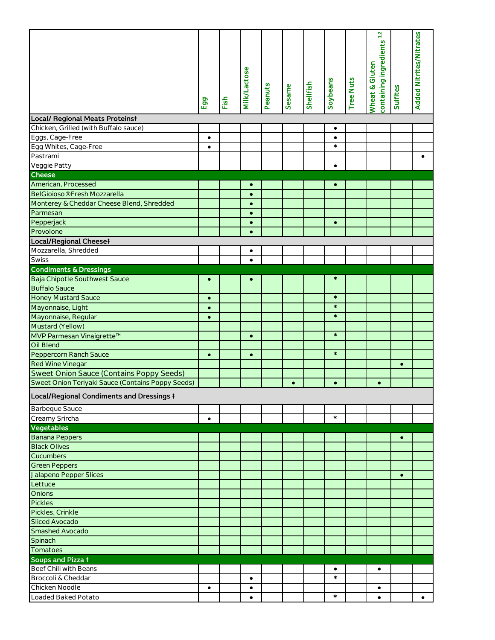|                                                                                                                 | Egg       | Fish | <b>MIIK/Lactose</b>    | Peanuts | Sesame    | Shellfish | Soybeans             | <b>Tree Nuts</b> | containing ingredients <sup>1,2</sup><br>Wheat & Gluten | Sulfites  | Added Nitrites/Nitrates |
|-----------------------------------------------------------------------------------------------------------------|-----------|------|------------------------|---------|-----------|-----------|----------------------|------------------|---------------------------------------------------------|-----------|-------------------------|
| <b>Local/ Regional Meats Proteinst</b>                                                                          |           |      |                        |         |           |           |                      |                  |                                                         |           |                         |
| Chicken, Grilled (with Buffalo sauce)                                                                           |           |      |                        |         |           |           | $\bullet$            |                  |                                                         |           |                         |
| Eggs, Cage-Free                                                                                                 | $\bullet$ |      |                        |         |           |           | $\bullet$            |                  |                                                         |           |                         |
| Egg Whites, Cage-Free                                                                                           | $\bullet$ |      |                        |         |           |           | $\star$              |                  |                                                         |           |                         |
| Pastrami                                                                                                        |           |      |                        |         |           |           |                      |                  |                                                         |           | $\bullet$               |
| Veggie Patty                                                                                                    |           |      |                        |         |           |           | $\bullet$            |                  |                                                         |           |                         |
| Cheese                                                                                                          |           |      |                        |         |           |           |                      |                  |                                                         |           |                         |
| American, Processed                                                                                             |           |      | $\bullet$              |         |           |           | $\bullet$            |                  |                                                         |           |                         |
| BelGioioso® Fresh Mozzarella                                                                                    |           |      | $\bullet$              |         |           |           |                      |                  |                                                         |           |                         |
| Monterey & Cheddar Cheese Blend, Shredded                                                                       |           |      | $\bullet$              |         |           |           |                      |                  |                                                         |           |                         |
| Parmesan                                                                                                        |           |      | $\bullet$              |         |           |           |                      |                  |                                                         |           |                         |
| Pepperjack                                                                                                      |           |      | $\bullet$              |         |           |           | $\bullet$            |                  |                                                         |           |                         |
| Provolone                                                                                                       |           |      | $\bullet$              |         |           |           |                      |                  |                                                         |           |                         |
| Local/Regional Cheeset                                                                                          |           |      |                        |         |           |           |                      |                  |                                                         |           |                         |
| Mozzarella, Shredded                                                                                            |           |      | $\bullet$              |         |           |           |                      |                  |                                                         |           |                         |
| Swiss                                                                                                           |           |      | $\bullet$              |         |           |           |                      |                  |                                                         |           |                         |
| <b>Condiments &amp; Dressings</b>                                                                               |           |      |                        |         |           |           |                      |                  |                                                         |           |                         |
| Baja Chipotle Southwest Sauce                                                                                   |           |      |                        |         |           |           | $\star$              |                  |                                                         |           |                         |
|                                                                                                                 | $\bullet$ |      | $\bullet$              |         |           |           |                      |                  |                                                         |           |                         |
| <b>Buffalo Sauce</b>                                                                                            |           |      |                        |         |           |           | $\star$              |                  |                                                         |           |                         |
| <b>Honey Mustard Sauce</b>                                                                                      | $\bullet$ |      |                        |         |           |           | $\star$              |                  |                                                         |           |                         |
| Mayonnaise, Light                                                                                               | $\bullet$ |      |                        |         |           |           | $\star$              |                  |                                                         |           |                         |
| Mayonnaise, Regular                                                                                             | $\bullet$ |      |                        |         |           |           |                      |                  |                                                         |           |                         |
| Mustard (Yellow)                                                                                                |           |      |                        |         |           |           | $\star$              |                  |                                                         |           |                         |
| MVP Parmesan Vinaigrette™                                                                                       |           |      | $\bullet$              |         |           |           |                      |                  |                                                         |           |                         |
| Oil Blend                                                                                                       |           |      |                        |         |           |           | $\star$              |                  |                                                         |           |                         |
| Peppercorn Ranch Sauce                                                                                          | $\bullet$ |      | $\bullet$              |         |           |           |                      |                  |                                                         |           |                         |
| Red Wine Vinegar                                                                                                |           |      |                        |         |           |           |                      |                  |                                                         | $\bullet$ |                         |
| Sweet Onion Sauce (Contains Poppy Seeds)                                                                        |           |      |                        |         |           |           |                      |                  |                                                         |           |                         |
| Sweet Onion Teriyaki Sauce (Contains Poppy Seeds)                                                               |           |      |                        |         | $\bullet$ |           | $\bullet$            |                  | $\bullet$                                               |           |                         |
| Local/Regional Condiments and Dressings #                                                                       |           |      |                        |         |           |           |                      |                  |                                                         |           |                         |
| <b>Barbeque Sauce</b>                                                                                           |           |      |                        |         |           |           |                      |                  |                                                         |           |                         |
|                                                                                                                 |           |      |                        |         |           |           | $\star$              |                  |                                                         |           |                         |
|                                                                                                                 |           |      |                        |         |           |           |                      |                  |                                                         |           |                         |
|                                                                                                                 | $\bullet$ |      |                        |         |           |           |                      |                  |                                                         |           |                         |
| Creamy Srircha<br>Vegetables                                                                                    |           |      |                        |         |           |           |                      |                  |                                                         |           |                         |
|                                                                                                                 |           |      |                        |         |           |           |                      |                  |                                                         | $\bullet$ |                         |
|                                                                                                                 |           |      |                        |         |           |           |                      |                  |                                                         |           |                         |
|                                                                                                                 |           |      |                        |         |           |           |                      |                  |                                                         |           |                         |
| Banana Peppers<br><b>Black Olives</b><br>Cucumbers<br><b>Green Peppers</b>                                      |           |      |                        |         |           |           |                      |                  |                                                         |           |                         |
|                                                                                                                 |           |      |                        |         |           |           |                      |                  |                                                         | $\bullet$ |                         |
|                                                                                                                 |           |      |                        |         |           |           |                      |                  |                                                         |           |                         |
|                                                                                                                 |           |      |                        |         |           |           |                      |                  |                                                         |           |                         |
|                                                                                                                 |           |      |                        |         |           |           |                      |                  |                                                         |           |                         |
|                                                                                                                 |           |      |                        |         |           |           |                      |                  |                                                         |           |                         |
|                                                                                                                 |           |      |                        |         |           |           |                      |                  |                                                         |           |                         |
| Jalapeno Pepper Slices<br>Lettuce<br>Onions<br>Pickles<br>Pickles, Crinkle<br>Sliced Avocado<br>Smashed Avocado |           |      |                        |         |           |           |                      |                  |                                                         |           |                         |
|                                                                                                                 |           |      |                        |         |           |           |                      |                  |                                                         |           |                         |
|                                                                                                                 |           |      |                        |         |           |           |                      |                  |                                                         |           |                         |
| Spinach<br>Tomatoes<br>Soups and Pizza #                                                                        |           |      |                        |         |           |           |                      |                  |                                                         |           |                         |
| Beef Chili with Beans                                                                                           |           |      |                        |         |           |           | $\bullet$<br>$\star$ |                  | $\bullet$                                               |           |                         |
| Broccoli & Cheddar<br>Chicken Noodle                                                                            | $\bullet$ |      | $\bullet$<br>$\bullet$ |         |           |           |                      |                  | $\bullet$                                               |           |                         |